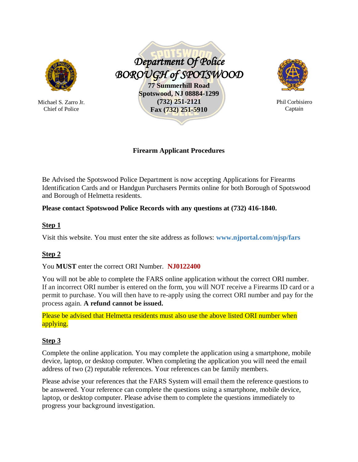

Michael S. Zarro Jr. Chief of Police

 *Department Of Police BOROUGH of SPOTSWOOD*  **77 Summerhill Road Spotswood, NJ 08884-1299 (732) 251-2121 Fax (732) 251-5910**



Phil Corbisiero Captain

**Firearm Applicant Procedures**

Be Advised the Spotswood Police Department is now accepting Applications for Firearms Identification Cards and or Handgun Purchasers Permits online for both Borough of Spotswood and Borough of Helmetta residents.

## **Please contact Spotswood Police Records with any questions at (732) 416-1840.**

#### **Step 1**

Visit this website. You must enter the site address as follows: **[www.njportal.com/njsp/fars](http://www.njportal.com/njsp/fars)**

# **Step 2**

You **MUST** enter the correct ORI Number. **NJ0122400**

You will not be able to complete the FARS online application without the correct ORI number. If an incorrect ORI number is entered on the form, you will NOT receive a Firearms ID card or a permit to purchase. You will then have to re-apply using the correct ORI number and pay for the process again. **A refund cannot be issued.**

Please be advised that Helmetta residents must also use the above listed ORI number when applying.

## **Step 3**

Complete the online application. You may complete the application using a smartphone, mobile device, laptop, or desktop computer. When completing the application you will need the email address of two (2) reputable references. Your references can be family members.

Please advise your references that the FARS System will email them the reference questions to be answered. Your reference can complete the questions using a smartphone, mobile device, laptop, or desktop computer. Please advise them to complete the questions immediately to progress your background investigation.